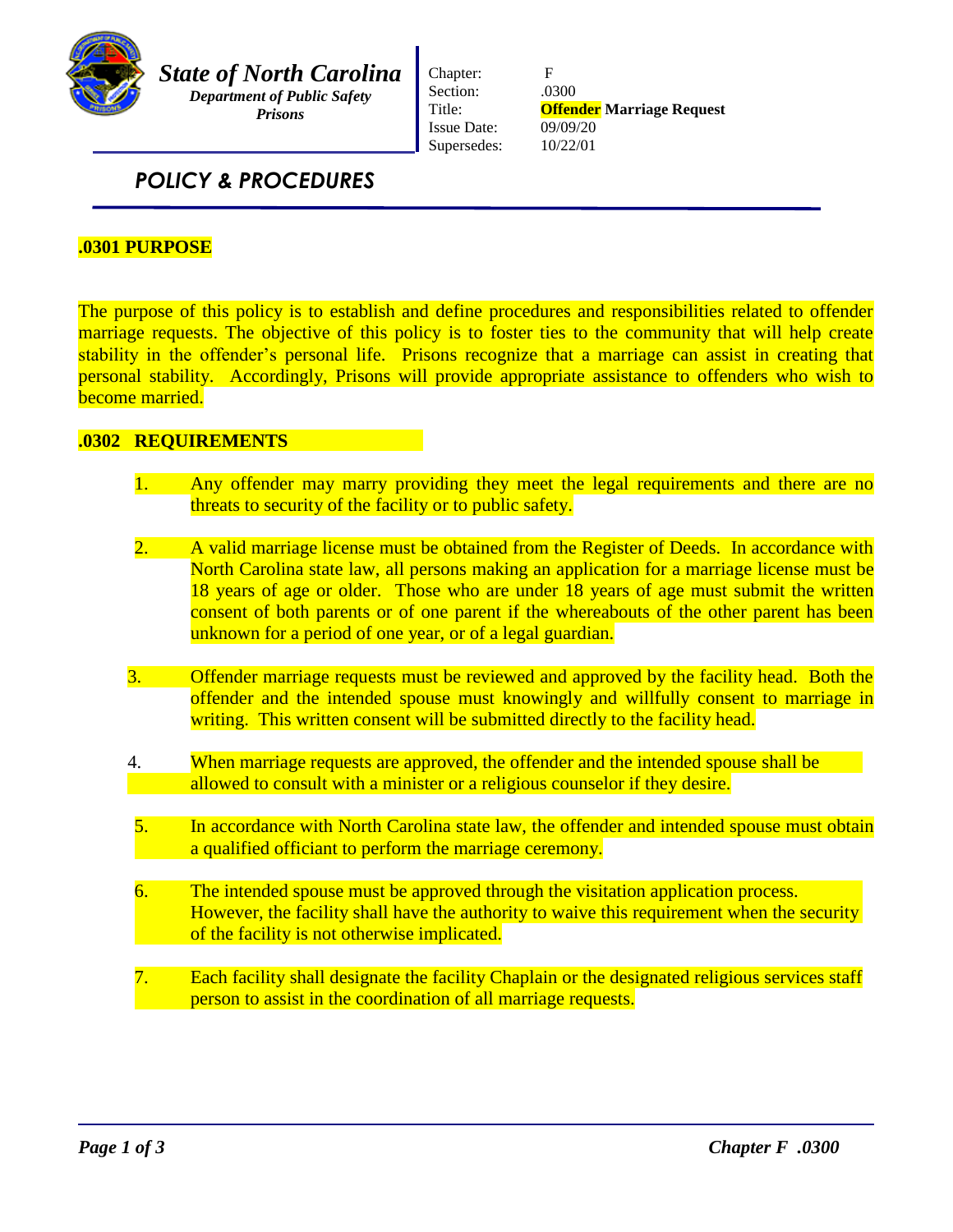

*State of North Carolina Department of Public Safety*

*Prisons*

Chapter: F Section: .0300 Issue Date: 09/09/20 Supersedes: 10/22/01

Title: **Offender Marriage Request**

# *POLICY & PROCEDURES*

## **.0301 PURPOSE**

The purpose of this policy is to establish and define procedures and responsibilities related to offender marriage requests. The objective of this policy is to foster ties to the community that will help create stability in the offender's personal life. Prisons recognize that a marriage can assist in creating that personal stability. Accordingly, Prisons will provide appropriate assistance to offenders who wish to become married.

### **.0302 REQUIREMENTS**

- 1. Any offender may marry providing they meet the legal requirements and there are no threats to security of the facility or to public safety.
- 2. A valid marriage license must be obtained from the Register of Deeds. In accordance with North Carolina state law, all persons making an application for a marriage license must be 18 years of age or older. Those who are under 18 years of age must submit the written consent of both parents or of one parent if the whereabouts of the other parent has been unknown for a period of one year, or of a legal guardian.
- 3. Offender marriage requests must be reviewed and approved by the facility head. Both the offender and the intended spouse must knowingly and willfully consent to marriage in writing. This written consent will be submitted directly to the facility head.
- 4. When marriage requests are approved, the offender and the intended spouse shall be allowed to consult with a minister or a religious counselor if they desire.
- 5. In accordance with North Carolina state law, the offender and intended spouse must obtain a qualified officiant to perform the marriage ceremony.
- 6. The intended spouse must be approved through the visitation application process. However, the facility shall have the authority to waive this requirement when the security of the facility is not otherwise implicated.
- Each facility shall designate the facility Chaplain or the designated religious services staff person to assist in the coordination of all marriage requests.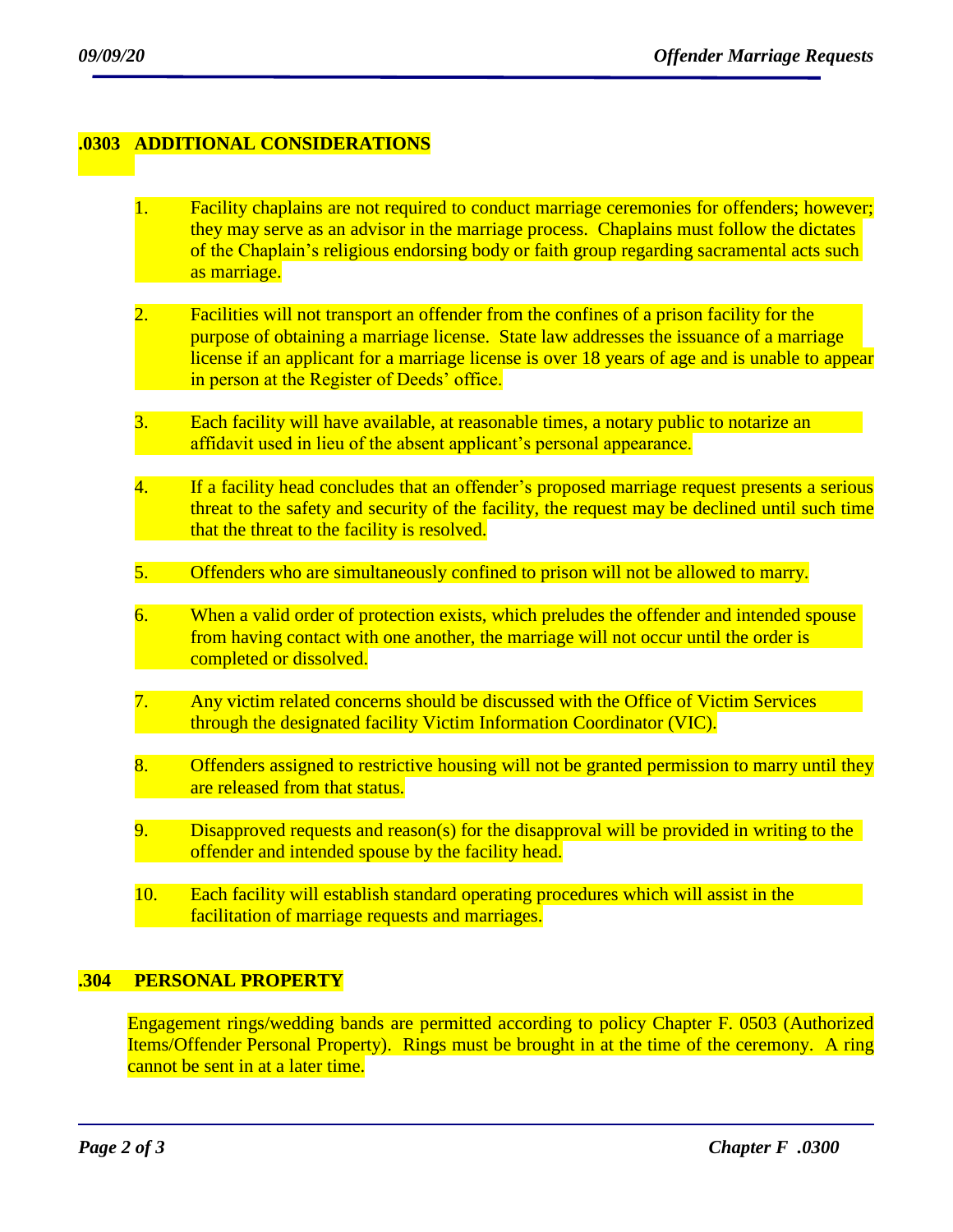#### **.0303 ADDITIONAL CONSIDERATIONS**

- 1. Facility chaplains are not required to conduct marriage ceremonies for offenders; however; they may serve as an advisor in the marriage process. Chaplains must follow the dictates of the Chaplain's religious endorsing body or faith group regarding sacramental acts such as marriage.
- 2. Facilities will not transport an offender from the confines of a prison facility for the purpose of obtaining a marriage license. State law addresses the issuance of a marriage license if an applicant for a marriage license is over 18 years of age and is unable to appear in person at the Register of Deeds' office.
- 3. Each facility will have available, at reasonable times, a notary public to notarize an affidavit used in lieu of the absent applicant's personal appearance.
- 4. If a facility head concludes that an offender's proposed marriage request presents a serious threat to the safety and security of the facility, the request may be declined until such time that the threat to the facility is resolved.
- 5. Offenders who are simultaneously confined to prison will not be allowed to marry.
- 6. When a valid order of protection exists, which preludes the offender and intended spouse from having contact with one another, the marriage will not occur until the order is completed or dissolved.
- 7. Any victim related concerns should be discussed with the Office of Victim Services through the designated facility Victim Information Coordinator (VIC).
- 8. Offenders assigned to restrictive housing will not be granted permission to marry until they are released from that status.
- 9. Disapproved requests and reason(s) for the disapproval will be provided in writing to the offender and intended spouse by the facility head.
- 10. Each facility will establish standard operating procedures which will assist in the facilitation of marriage requests and marriages.

#### **.304 PERSONAL PROPERTY**

Engagement rings/wedding bands are permitted according to policy Chapter F. 0503 (Authorized Items/Offender Personal Property). Rings must be brought in at the time of the ceremony. A ring cannot be sent in at a later time.